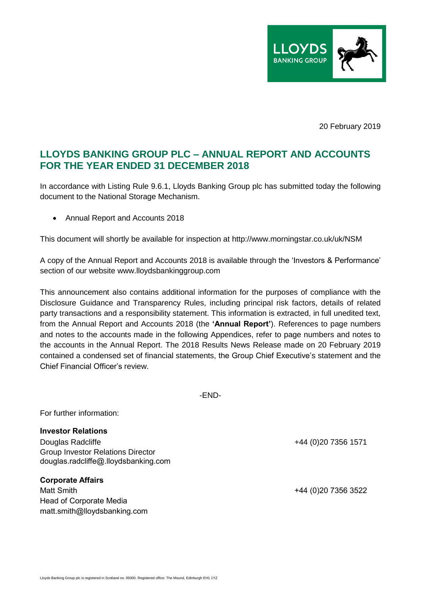

20 February 2019

# **LLOYDS BANKING GROUP PLC – ANNUAL REPORT AND ACCOUNTS FOR THE YEAR ENDED 31 DECEMBER 2018**

In accordance with Listing Rule 9.6.1, Lloyds Banking Group plc has submitted today the following document to the National Storage Mechanism.

Annual Report and Accounts 2018

This document will shortly be available for inspection at http://www.morningstar.co.uk/uk/NSM

A copy of the Annual Report and Accounts 2018 is available through the 'Investors & Performance' section of our website www.lloydsbankinggroup.com

This announcement also contains additional information for the purposes of compliance with the Disclosure Guidance and Transparency Rules, including principal risk factors, details of related party transactions and a responsibility statement. This information is extracted, in full unedited text, from the Annual Report and Accounts 2018 (the **'Annual Report'**). References to page numbers and notes to the accounts made in the following Appendices, refer to page numbers and notes to the accounts in the Annual Report. The 2018 Results News Release made on 20 February 2019 contained a condensed set of financial statements, the Group Chief Executive's statement and the Chief Financial Officer's review.

-END-

For further information:

**Investor Relations**

Douglas Radcliffe +44 (0)20 7356 1571 Group Investor Relations Director douglas.radcliffe@.lloydsbanking.com

**Corporate Affairs** Matt Smith +44 (0)20 7356 3522 Head of Corporate Media matt.smith@lloydsbanking.com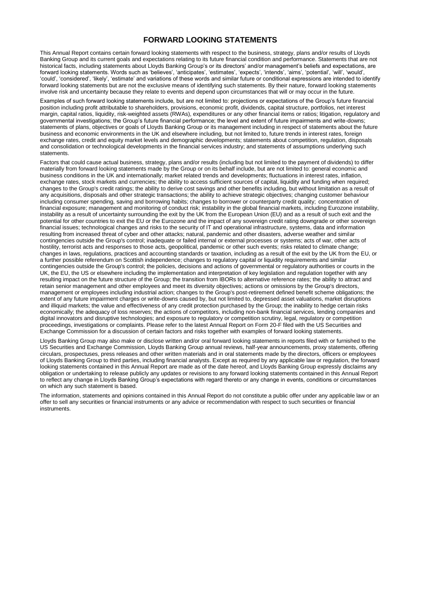# **FORWARD LOOKING STATEMENTS**

This Annual Report contains certain forward looking statements with respect to the business, strategy, plans and/or results of Lloyds Banking Group and its current goals and expectations relating to its future financial condition and performance. Statements that are not historical facts, including statements about Lloyds Banking Group's or its directors' and/or management's beliefs and expectations, are forward looking statements. Words such as 'believes', 'anticipates', 'estimates', 'expects', 'intends', 'aims', 'potential', 'will', 'would', 'could', 'considered', 'likely', 'estimate' and variations of these words and similar future or conditional expressions are intended to identify forward looking statements but are not the exclusive means of identifying such statements. By their nature, forward looking statements involve risk and uncertainty because they relate to events and depend upon circumstances that will or may occur in the future.

Examples of such forward looking statements include, but are not limited to: projections or expectations of the Group's future financial position including profit attributable to shareholders, provisions, economic profit, dividends, capital structure, portfolios, net interest margin, capital ratios, liquidity, risk-weighted assets (RWAs), expenditures or any other financial items or ratios; litigation, regulatory and governmental investigations; the Group's future financial performance; the level and extent of future impairments and write-downs; statements of plans, objectives or goals of Lloyds Banking Group or its management including in respect of statements about the future business and economic environments in the UK and elsewhere including, but not limited to, future trends in interest rates, foreign exchange rates, credit and equity market levels and demographic developments; statements about competition, regulation, disposals and consolidation or technological developments in the financial services industry; and statements of assumptions underlying such statements.

Factors that could cause actual business, strategy, plans and/or results (including but not limited to the payment of dividends) to differ materially from forward looking statements made by the Group or on its behalf include, but are not limited to: general economic and business conditions in the UK and internationally; market related trends and developments; fluctuations in interest rates, inflation, exchange rates, stock markets and currencies; the ability to access sufficient sources of capital, liquidity and funding when required; changes to the Group's credit ratings; the ability to derive cost savings and other benefits including, but without limitation as a result of any acquisitions, disposals and other strategic transactions; the ability to achieve strategic objectives; changing customer behaviour including consumer spending, saving and borrowing habits; changes to borrower or counterparty credit quality; concentration of financial exposure; management and monitoring of conduct risk; instability in the global financial markets, including Eurozone instability, instability as a result of uncertainty surrounding the exit by the UK from the European Union (EU) and as a result of such exit and the potential for other countries to exit the EU or the Eurozone and the impact of any sovereign credit rating downgrade or other sovereign financial issues; technological changes and risks to the security of IT and operational infrastructure, systems, data and information resulting from increased threat of cyber and other attacks; natural, pandemic and other disasters, adverse weather and similar contingencies outside the Group's control; inadequate or failed internal or external processes or systems; acts of war, other acts of hostility, terrorist acts and responses to those acts, geopolitical, pandemic or other such events; risks related to climate change; changes in laws, regulations, practices and accounting standards or taxation, including as a result of the exit by the UK from the EU, or a further possible referendum on Scottish independence; changes to regulatory capital or liquidity requirements and similar contingencies outside the Group's control; the policies, decisions and actions of governmental or regulatory authorities or courts in the UK, the EU, the US or elsewhere including the implementation and interpretation of key legislation and regulation together with any resulting impact on the future structure of the Group; the transition from IBORs to alternative reference rates; the ability to attract and retain senior management and other employees and meet its diversity objectives; actions or omissions by the Group's directors, management or employees including industrial action; changes to the Group's post-retirement defined benefit scheme obligations; the extent of any future impairment charges or write-downs caused by, but not limited to, depressed asset valuations, market disruptions and illiquid markets; the value and effectiveness of any credit protection purchased by the Group; the inability to hedge certain risks economically; the adequacy of loss reserves; the actions of competitors, including non-bank financial services, lending companies and digital innovators and disruptive technologies; and exposure to regulatory or competition scrutiny, legal, regulatory or competition proceedings, investigations or complaints. Please refer to the latest Annual Report on Form 20-F filed with the US Securities and Exchange Commission for a discussion of certain factors and risks together with examples of forward looking statements.

Lloyds Banking Group may also make or disclose written and/or oral forward looking statements in reports filed with or furnished to the US Securities and Exchange Commission, Lloyds Banking Group annual reviews, half-year announcements, proxy statements, offering circulars, prospectuses, press releases and other written materials and in oral statements made by the directors, officers or employees of Lloyds Banking Group to third parties, including financial analysts. Except as required by any applicable law or regulation, the forward looking statements contained in this Annual Report are made as of the date hereof, and Lloyds Banking Group expressly disclaims any obligation or undertaking to release publicly any updates or revisions to any forward looking statements contained in this Annual Report to reflect any change in Lloyds Banking Group's expectations with regard thereto or any change in events, conditions or circumstances on which any such statement is based.

The information, statements and opinions contained in this Annual Report do not constitute a public offer under any applicable law or an offer to sell any securities or financial instruments or any advice or recommendation with respect to such securities or financial instruments.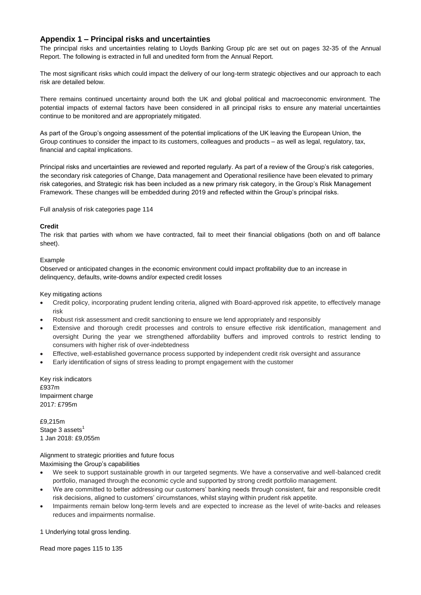# **Appendix 1 – Principal risks and uncertainties**

The principal risks and uncertainties relating to Lloyds Banking Group plc are set out on pages 32-35 of the Annual Report. The following is extracted in full and unedited form from the Annual Report.

The most significant risks which could impact the delivery of our long-term strategic objectives and our approach to each risk are detailed below.

There remains continued uncertainty around both the UK and global political and macroeconomic environment. The potential impacts of external factors have been considered in all principal risks to ensure any material uncertainties continue to be monitored and are appropriately mitigated.

As part of the Group's ongoing assessment of the potential implications of the UK leaving the European Union, the Group continues to consider the impact to its customers, colleagues and products – as well as legal, regulatory, tax, financial and capital implications.

Principal risks and uncertainties are reviewed and reported regularly. As part of a review of the Group's risk categories, the secondary risk categories of Change, Data management and Operational resilience have been elevated to primary risk categories, and Strategic risk has been included as a new primary risk category, in the Group's Risk Management Framework. These changes will be embedded during 2019 and reflected within the Group's principal risks.

Full analysis of risk categories page 114

# **Credit**

The risk that parties with whom we have contracted, fail to meet their financial obligations (both on and off balance sheet).

# Example

Observed or anticipated changes in the economic environment could impact profitability due to an increase in delinquency, defaults, write-downs and/or expected credit losses

Key mitigating actions

- Credit policy, incorporating prudent lending criteria, aligned with Board-approved risk appetite, to effectively manage risk
- Robust risk assessment and credit sanctioning to ensure we lend appropriately and responsibly
- Extensive and thorough credit processes and controls to ensure effective risk identification, management and oversight During the year we strengthened affordability buffers and improved controls to restrict lending to consumers with higher risk of over-indebtedness
- Effective, well-established governance process supported by independent credit risk oversight and assurance
- Early identification of signs of stress leading to prompt engagement with the customer

Key risk indicators £937m Impairment charge 2017: £795m

£9,215m Stage  $3$  assets<sup>1</sup> 1 Jan 2018: £9,055m

Alignment to strategic priorities and future focus Maximising the Group's capabilities

- We seek to support sustainable growth in our targeted segments. We have a conservative and well-balanced credit portfolio, managed through the economic cycle and supported by strong credit portfolio management.
- We are committed to better addressing our customers' banking needs through consistent, fair and responsible credit risk decisions, aligned to customers' circumstances, whilst staying within prudent risk appetite.
- Impairments remain below long-term levels and are expected to increase as the level of write-backs and releases reduces and impairments normalise.

1 Underlying total gross lending.

Read more pages 115 to 135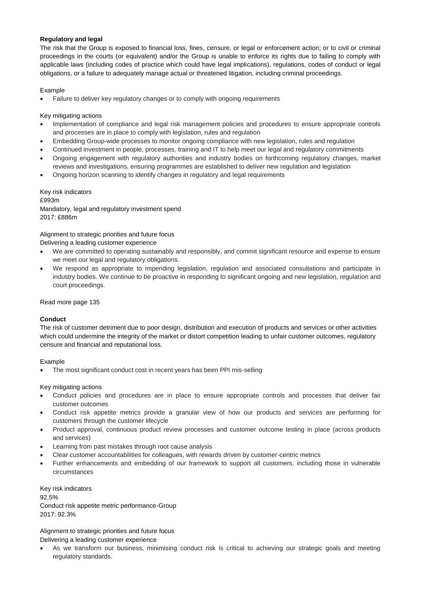# **Regulatory and legal**

The risk that the Group is exposed to financial loss, fines, censure, or legal or enforcement action; or to civil or criminal proceedings in the courts (or equivalent) and/or the Group is unable to enforce its rights due to failing to comply with applicable laws (including codes of practice which could have legal implications), regulations, codes of conduct or legal obligations, or a failure to adequately manage actual or threatened litigation, including criminal proceedings.

#### Example

Failure to deliver key regulatory changes or to comply with ongoing requirements

Key mitigating actions

- Implementation of compliance and legal risk management policies and procedures to ensure appropriate controls and processes are in place to comply with legislation, rules and regulation
- Embedding Group-wide processes to monitor ongoing compliance with new legislation, rules and regulation
- Continued investment in people, processes, training and IT to help meet our legal and regulatory commitments
- Ongoing engagement with regulatory authorities and industry bodies on forthcoming regulatory changes, market reviews and investigations, ensuring programmes are established to deliver new regulation and legislation
- Ongoing horizon scanning to identify changes in regulatory and legal requirements

Key risk indicators £993m Mandatory, legal and regulatory investment spend 2017: £886m

Alignment to strategic priorities and future focus Delivering a leading customer experience

- We are committed to operating sustainably and responsibly, and commit significant resource and expense to ensure we meet our legal and regulatory obligations.
- We respond as appropriate to impending legislation, regulation and associated consultations and participate in industry bodies. We continue to be proactive in responding to significant ongoing and new legislation, regulation and court proceedings.

Read more page 135

# **Conduct**

The risk of customer detriment due to poor design, distribution and execution of products and services or other activities which could undermine the integrity of the market or distort competition leading to unfair customer outcomes, regulatory censure and financial and reputational loss.

Example

The most significant conduct cost in recent years has been PPI mis-selling

Key mitigating actions

- Conduct policies and procedures are in place to ensure appropriate controls and processes that deliver fair customer outcomes
- Conduct risk appetite metrics provide a granular view of how our products and services are performing for customers through the customer lifecycle
- Product approval, continuous product review processes and customer outcome testing in place (across products and services)
- Learning from past mistakes through root cause analysis
- Clear customer accountabilities for colleagues, with rewards driven by customer-centric metrics
- Further enhancements and embedding of our framework to support all customers, including those in vulnerable circumstances

Key risk indicators 92.5% Conduct risk appetite metric performance-Group 2017: 92.3%

Alignment to strategic priorities and future focus Delivering a leading customer experience

 As we transform our business, minimising conduct risk is critical to achieving our strategic goals and meeting regulatory standards.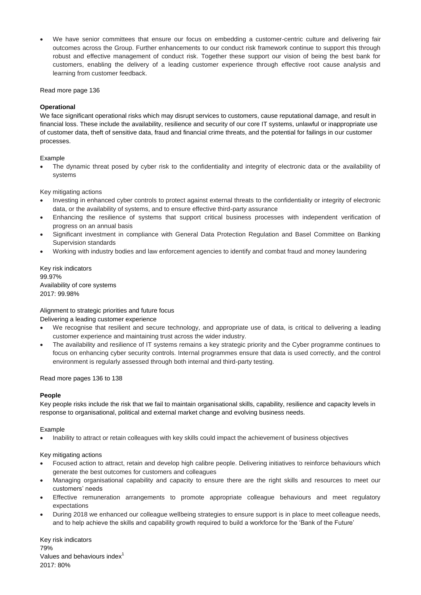We have senior committees that ensure our focus on embedding a customer-centric culture and delivering fair outcomes across the Group. Further enhancements to our conduct risk framework continue to support this through robust and effective management of conduct risk. Together these support our vision of being the best bank for customers, enabling the delivery of a leading customer experience through effective root cause analysis and learning from customer feedback.

Read more page 136

# **Operational**

We face significant operational risks which may disrupt services to customers, cause reputational damage, and result in financial loss. These include the availability, resilience and security of our core IT systems, unlawful or inappropriate use of customer data, theft of sensitive data, fraud and financial crime threats, and the potential for failings in our customer processes.

# Example

 The dynamic threat posed by cyber risk to the confidentiality and integrity of electronic data or the availability of systems

Key mitigating actions

- Investing in enhanced cyber controls to protect against external threats to the confidentiality or integrity of electronic data, or the availability of systems, and to ensure effective third-party assurance
- Enhancing the resilience of systems that support critical business processes with independent verification of progress on an annual basis
- Significant investment in compliance with General Data Protection Regulation and Basel Committee on Banking Supervision standards
- Working with industry bodies and law enforcement agencies to identify and combat fraud and money laundering

Key risk indicators 99.97% Availability of core systems 2017: 99.98%

# Alignment to strategic priorities and future focus

# Delivering a leading customer experience

- We recognise that resilient and secure technology, and appropriate use of data, is critical to delivering a leading customer experience and maintaining trust across the wider industry.
- The availability and resilience of IT systems remains a key strategic priority and the Cyber programme continues to focus on enhancing cyber security controls. Internal programmes ensure that data is used correctly, and the control environment is regularly assessed through both internal and third-party testing.

# Read more pages 136 to 138

#### **People**

Key people risks include the risk that we fail to maintain organisational skills, capability, resilience and capacity levels in response to organisational, political and external market change and evolving business needs.

# Example

Inability to attract or retain colleagues with key skills could impact the achievement of business objectives

# Key mitigating actions

- Focused action to attract, retain and develop high calibre people. Delivering initiatives to reinforce behaviours which generate the best outcomes for customers and colleagues
- Managing organisational capability and capacity to ensure there are the right skills and resources to meet our customers' needs
- Effective remuneration arrangements to promote appropriate colleague behaviours and meet regulatory expectations
- During 2018 we enhanced our colleague wellbeing strategies to ensure support is in place to meet colleague needs, and to help achieve the skills and capability growth required to build a workforce for the 'Bank of the Future'

Key risk indicators 79% Values and behaviours index<sup>1</sup> 2017: 80%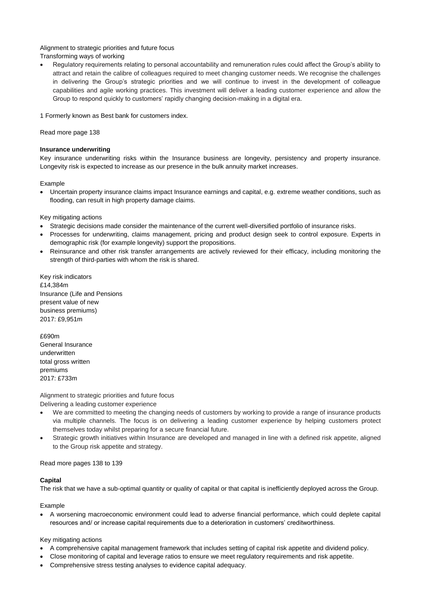Alignment to strategic priorities and future focus Transforming ways of working

 Regulatory requirements relating to personal accountability and remuneration rules could affect the Group's ability to attract and retain the calibre of colleagues required to meet changing customer needs. We recognise the challenges in delivering the Group's strategic priorities and we will continue to invest in the development of colleague capabilities and agile working practices. This investment will deliver a leading customer experience and allow the Group to respond quickly to customers' rapidly changing decision-making in a digital era.

1 Formerly known as Best bank for customers index.

Read more page 138

#### **Insurance underwriting**

Key insurance underwriting risks within the Insurance business are longevity, persistency and property insurance. Longevity risk is expected to increase as our presence in the bulk annuity market increases.

Example

 Uncertain property insurance claims impact Insurance earnings and capital, e.g. extreme weather conditions, such as flooding, can result in high property damage claims.

Key mitigating actions

- Strategic decisions made consider the maintenance of the current well-diversified portfolio of insurance risks.
- Processes for underwriting, claims management, pricing and product design seek to control exposure. Experts in demographic risk (for example longevity) support the propositions.
- Reinsurance and other risk transfer arrangements are actively reviewed for their efficacy, including monitoring the strength of third-parties with whom the risk is shared.

Key risk indicators £14,384m Insurance (Life and Pensions present value of new business premiums) 2017: £9,951m

£690m General Insurance underwritten total gross written premiums 2017: £733m

Alignment to strategic priorities and future focus Delivering a leading customer experience

- We are committed to meeting the changing needs of customers by working to provide a range of insurance products via multiple channels. The focus is on delivering a leading customer experience by helping customers protect themselves today whilst preparing for a secure financial future.
- Strategic growth initiatives within Insurance are developed and managed in line with a defined risk appetite, aligned to the Group risk appetite and strategy.

Read more pages 138 to 139

#### **Capital**

The risk that we have a sub-optimal quantity or quality of capital or that capital is inefficiently deployed across the Group.

Example

 A worsening macroeconomic environment could lead to adverse financial performance, which could deplete capital resources and/ or increase capital requirements due to a deterioration in customers' creditworthiness.

# Key mitigating actions

- A comprehensive capital management framework that includes setting of capital risk appetite and dividend policy.
- Close monitoring of capital and leverage ratios to ensure we meet regulatory requirements and risk appetite.
- Comprehensive stress testing analyses to evidence capital adequacy.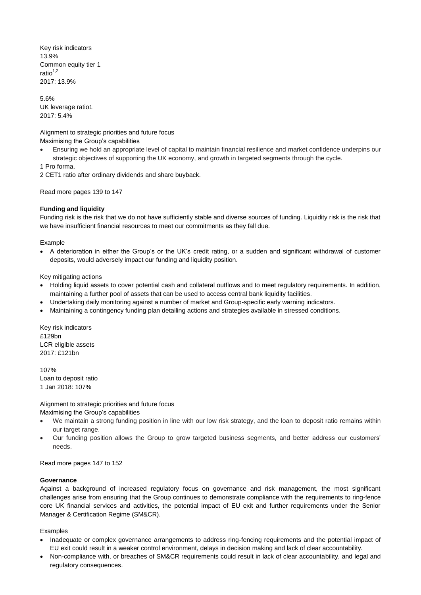Key risk indicators 13.9% Common equity tier 1 ratio $1,2$ 2017: 13.9%

5.6% UK leverage ratio1 2017: 5.4%

Alignment to strategic priorities and future focus Maximising the Group's capabilities

 Ensuring we hold an appropriate level of capital to maintain financial resilience and market confidence underpins our strategic objectives of supporting the UK economy, and growth in targeted segments through the cycle.

1 Pro forma.

2 CET1 ratio after ordinary dividends and share buyback.

Read more pages 139 to 147

#### **Funding and liquidity**

Funding risk is the risk that we do not have sufficiently stable and diverse sources of funding. Liquidity risk is the risk that we have insufficient financial resources to meet our commitments as they fall due.

#### Example

 A deterioration in either the Group's or the UK's credit rating, or a sudden and significant withdrawal of customer deposits, would adversely impact our funding and liquidity position.

Key mitigating actions

- Holding liquid assets to cover potential cash and collateral outflows and to meet regulatory requirements. In addition, maintaining a further pool of assets that can be used to access central bank liquidity facilities.
- Undertaking daily monitoring against a number of market and Group-specific early warning indicators.
- Maintaining a contingency funding plan detailing actions and strategies available in stressed conditions.

Key risk indicators £129bn LCR eligible assets 2017: £121bn

107% Loan to deposit ratio 1 Jan 2018: 107%

Alignment to strategic priorities and future focus

Maximising the Group's capabilities

- We maintain a strong funding position in line with our low risk strategy, and the loan to deposit ratio remains within our target range.
- Our funding position allows the Group to grow targeted business segments, and better address our customers' needs.

Read more pages 147 to 152

#### **Governance**

Against a background of increased regulatory focus on governance and risk management, the most significant challenges arise from ensuring that the Group continues to demonstrate compliance with the requirements to ring-fence core UK financial services and activities, the potential impact of EU exit and further requirements under the Senior Manager & Certification Regime (SM&CR).

Examples

- Inadequate or complex governance arrangements to address ring-fencing requirements and the potential impact of EU exit could result in a weaker control environment, delays in decision making and lack of clear accountability.
- Non-compliance with, or breaches of SM&CR requirements could result in lack of clear accountability, and legal and regulatory consequences.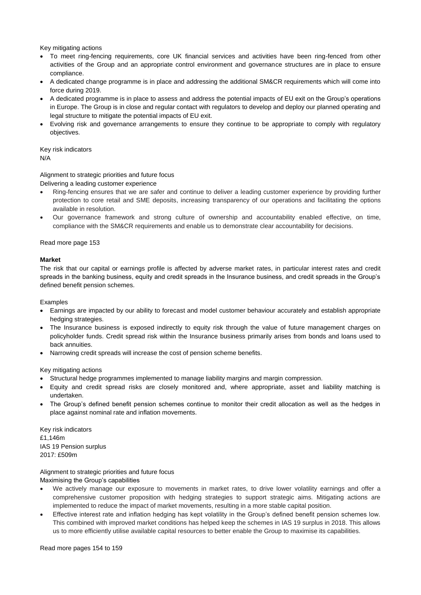Key mitigating actions

- To meet ring-fencing requirements, core UK financial services and activities have been ring-fenced from other activities of the Group and an appropriate control environment and governance structures are in place to ensure compliance.
- A dedicated change programme is in place and addressing the additional SM&CR requirements which will come into force during 2019.
- A dedicated programme is in place to assess and address the potential impacts of EU exit on the Group's operations in Europe. The Group is in close and regular contact with regulators to develop and deploy our planned operating and legal structure to mitigate the potential impacts of EU exit.
- Evolving risk and governance arrangements to ensure they continue to be appropriate to comply with regulatory objectives.

Key risk indicators N/A

# Alignment to strategic priorities and future focus

Delivering a leading customer experience

- Ring-fencing ensures that we are safer and continue to deliver a leading customer experience by providing further protection to core retail and SME deposits, increasing transparency of our operations and facilitating the options available in resolution.
- Our governance framework and strong culture of ownership and accountability enabled effective, on time, compliance with the SM&CR requirements and enable us to demonstrate clear accountability for decisions.

Read more page 153

#### **Market**

The risk that our capital or earnings profile is affected by adverse market rates, in particular interest rates and credit spreads in the banking business, equity and credit spreads in the Insurance business, and credit spreads in the Group's defined benefit pension schemes.

Examples

- Earnings are impacted by our ability to forecast and model customer behaviour accurately and establish appropriate hedging strategies.
- The Insurance business is exposed indirectly to equity risk through the value of future management charges on policyholder funds. Credit spread risk within the Insurance business primarily arises from bonds and loans used to back annuities.
- Narrowing credit spreads will increase the cost of pension scheme benefits.

Key mitigating actions

- Structural hedge programmes implemented to manage liability margins and margin compression.
- Equity and credit spread risks are closely monitored and, where appropriate, asset and liability matching is undertaken.
- The Group's defined benefit pension schemes continue to monitor their credit allocation as well as the hedges in place against nominal rate and inflation movements.

Key risk indicators £1,146m IAS 19 Pension surplus 2017: £509m

Alignment to strategic priorities and future focus Maximising the Group's capabilities

- We actively manage our exposure to movements in market rates, to drive lower volatility earnings and offer a comprehensive customer proposition with hedging strategies to support strategic aims. Mitigating actions are implemented to reduce the impact of market movements, resulting in a more stable capital position.
- Effective interest rate and inflation hedging has kept volatility in the Group's defined benefit pension schemes low. This combined with improved market conditions has helped keep the schemes in IAS 19 surplus in 2018. This allows us to more efficiently utilise available capital resources to better enable the Group to maximise its capabilities.

Read more pages 154 to 159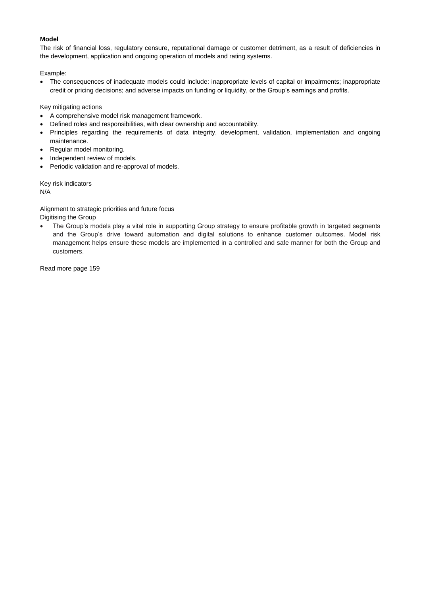# **Model**

The risk of financial loss, regulatory censure, reputational damage or customer detriment, as a result of deficiencies in the development, application and ongoing operation of models and rating systems.

Example:

 The consequences of inadequate models could include: inappropriate levels of capital or impairments; inappropriate credit or pricing decisions; and adverse impacts on funding or liquidity, or the Group's earnings and profits.

Key mitigating actions

- A comprehensive model risk management framework.
- Defined roles and responsibilities, with clear ownership and accountability.
- Principles regarding the requirements of data integrity, development, validation, implementation and ongoing maintenance.
- Regular model monitoring.
- Independent review of models.
- Periodic validation and re-approval of models.

Key risk indicators N/A

Alignment to strategic priorities and future focus

- Digitising the Group
- The Group's models play a vital role in supporting Group strategy to ensure profitable growth in targeted segments and the Group's drive toward automation and digital solutions to enhance customer outcomes. Model risk management helps ensure these models are implemented in a controlled and safe manner for both the Group and customers.

Read more page 159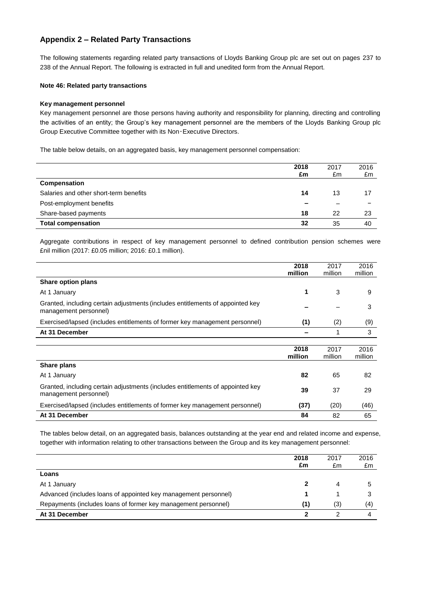# **Appendix 2 – Related Party Transactions**

The following statements regarding related party transactions of Lloyds Banking Group plc are set out on pages 237 to 238 of the Annual Report. The following is extracted in full and unedited form from the Annual Report.

#### **Note 46: Related party transactions**

#### **Key management personnel**

Key management personnel are those persons having authority and responsibility for planning, directing and controlling the activities of an entity; the Group's key management personnel are the members of the Lloyds Banking Group plc Group Executive Committee together with its Non‑Executive Directors.

The table below details, on an aggregated basis, key management personnel compensation:

|                                        | 2018<br>£m | 2017<br>£m | 2016<br>£m |
|----------------------------------------|------------|------------|------------|
| Compensation                           |            |            |            |
| Salaries and other short-term benefits | 14         | 13         | 17         |
| Post-employment benefits               |            |            |            |
| Share-based payments                   | 18         | 22         | 23         |
| <b>Total compensation</b>              | 32         | 35         | 40         |

Aggregate contributions in respect of key management personnel to defined contribution pension schemes were £nil million (2017: £0.05 million; 2016: £0.1 million).

|                                                                                                         | 2018<br>million | 2017<br>million | 2016<br>million |
|---------------------------------------------------------------------------------------------------------|-----------------|-----------------|-----------------|
| Share option plans                                                                                      |                 |                 |                 |
| At 1 January                                                                                            | 1               | 3               | 9               |
| Granted, including certain adjustments (includes entitlements of appointed key<br>management personnel) |                 |                 | 3               |
| Exercised/lapsed (includes entitlements of former key management personnel)                             | (1)             | (2)             | (9)             |
| At 31 December                                                                                          |                 | 1               | 3               |
|                                                                                                         |                 |                 |                 |
|                                                                                                         | 2018<br>million | 2017<br>million | 2016<br>million |
| Share plans                                                                                             |                 |                 |                 |
| At 1 January                                                                                            | 82              | 65              | 82              |
| Granted, including certain adjustments (includes entitlements of appointed key<br>management personnel) | 39              | 37              | 29              |
| Exercised/lapsed (includes entitlements of former key management personnel)                             | (37)            | (20)            | (46)            |
| At 31 December                                                                                          | 84              | 82              | 65              |

The tables below detail, on an aggregated basis, balances outstanding at the year end and related income and expense, together with information relating to other transactions between the Group and its key management personnel:

|                                                                 | 2018<br>£m | 2017<br>£m | 2016<br>£m |
|-----------------------------------------------------------------|------------|------------|------------|
| Loans                                                           |            |            |            |
| At 1 January                                                    |            | 4          |            |
| Advanced (includes loans of appointed key management personnel) |            |            |            |
| Repayments (includes loans of former key management personnel)  | (1)        | (3)        | (4)        |
| At 31 December                                                  | າ          |            |            |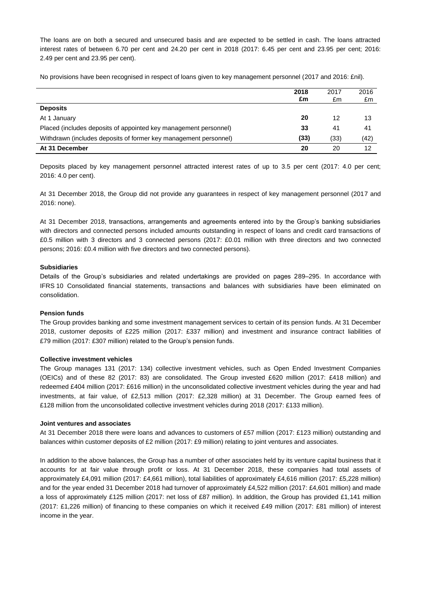The loans are on both a secured and unsecured basis and are expected to be settled in cash. The loans attracted interest rates of between 6.70 per cent and 24.20 per cent in 2018 (2017: 6.45 per cent and 23.95 per cent; 2016: 2.49 per cent and 23.95 per cent).

No provisions have been recognised in respect of loans given to key management personnel (2017 and 2016: £nil).

|                                                                  | 2018<br>£m | 2017<br>£m | 2016<br>£m |
|------------------------------------------------------------------|------------|------------|------------|
| <b>Deposits</b>                                                  |            |            |            |
| At 1 January                                                     | 20         | 12         | 13         |
| Placed (includes deposits of appointed key management personnel) | 33         | 41         | 41         |
| Withdrawn (includes deposits of former key management personnel) | (33)       | (33)       | (42)       |
| At 31 December                                                   | 20         | 20         | 12         |

Deposits placed by key management personnel attracted interest rates of up to 3.5 per cent (2017: 4.0 per cent; 2016: 4.0 per cent).

At 31 December 2018, the Group did not provide any guarantees in respect of key management personnel (2017 and 2016: none).

At 31 December 2018, transactions, arrangements and agreements entered into by the Group's banking subsidiaries with directors and connected persons included amounts outstanding in respect of loans and credit card transactions of £0.5 million with 3 directors and 3 connected persons (2017: £0.01 million with three directors and two connected persons; 2016: £0.4 million with five directors and two connected persons).

#### **Subsidiaries**

Details of the Group's subsidiaries and related undertakings are provided on pages 289–295. In accordance with IFRS 10 Consolidated financial statements, transactions and balances with subsidiaries have been eliminated on consolidation.

#### **Pension funds**

The Group provides banking and some investment management services to certain of its pension funds. At 31 December 2018, customer deposits of £225 million (2017: £337 million) and investment and insurance contract liabilities of £79 million (2017: £307 million) related to the Group's pension funds.

#### **Collective investment vehicles**

The Group manages 131 (2017: 134) collective investment vehicles, such as Open Ended Investment Companies (OEICs) and of these 82 (2017: 83) are consolidated. The Group invested £620 million (2017: £418 million) and redeemed £404 million (2017: £616 million) in the unconsolidated collective investment vehicles during the year and had investments, at fair value, of £2,513 million (2017: £2,328 million) at 31 December. The Group earned fees of £128 million from the unconsolidated collective investment vehicles during 2018 (2017: £133 million).

#### **Joint ventures and associates**

At 31 December 2018 there were loans and advances to customers of £57 million (2017: £123 million) outstanding and balances within customer deposits of £2 million (2017: £9 million) relating to joint ventures and associates.

In addition to the above balances, the Group has a number of other associates held by its venture capital business that it accounts for at fair value through profit or loss. At 31 December 2018, these companies had total assets of approximately £4,091 million (2017: £4,661 million), total liabilities of approximately £4,616 million (2017: £5,228 million) and for the year ended 31 December 2018 had turnover of approximately £4,522 million (2017: £4,601 million) and made a loss of approximately £125 million (2017: net loss of £87 million). In addition, the Group has provided £1,141 million (2017: £1,226 million) of financing to these companies on which it received £49 million (2017: £81 million) of interest income in the year.